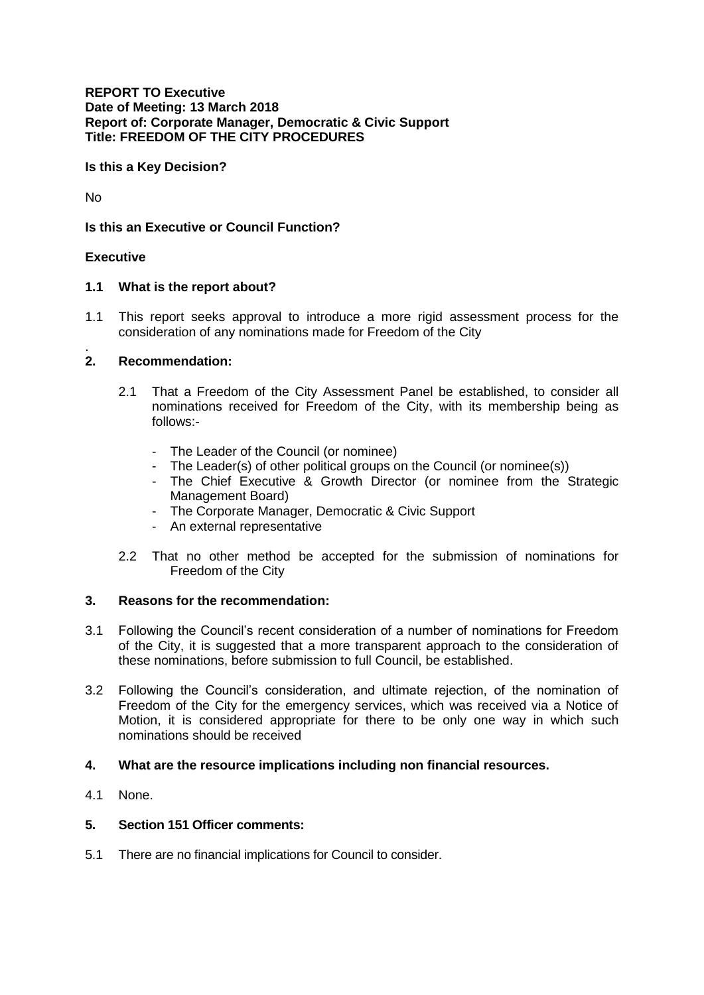## **REPORT TO Executive Date of Meeting: 13 March 2018 Report of: Corporate Manager, Democratic & Civic Support Title: FREEDOM OF THE CITY PROCEDURES**

**Is this a Key Decision?** 

No

**Is this an Executive or Council Function?**

## **Executive**

## **1.1 What is the report about?**

1.1 This report seeks approval to introduce a more rigid assessment process for the consideration of any nominations made for Freedom of the City

#### . **2. Recommendation:**

- 2.1 That a Freedom of the City Assessment Panel be established, to consider all nominations received for Freedom of the City, with its membership being as follows:-
	- The Leader of the Council (or nominee)
	- The Leader(s) of other political groups on the Council (or nominee(s))
	- The Chief Executive & Growth Director (or nominee from the Strategic Management Board)
	- The Corporate Manager, Democratic & Civic Support
	- An external representative
- 2.2 That no other method be accepted for the submission of nominations for Freedom of the City

## **3. Reasons for the recommendation:**

- 3.1 Following the Council's recent consideration of a number of nominations for Freedom of the City, it is suggested that a more transparent approach to the consideration of these nominations, before submission to full Council, be established.
- 3.2 Following the Council's consideration, and ultimate rejection, of the nomination of Freedom of the City for the emergency services, which was received via a Notice of Motion, it is considered appropriate for there to be only one way in which such nominations should be received

## **4. What are the resource implications including non financial resources.**

4.1 None.

## **5. Section 151 Officer comments:**

5.1 There are no financial implications for Council to consider.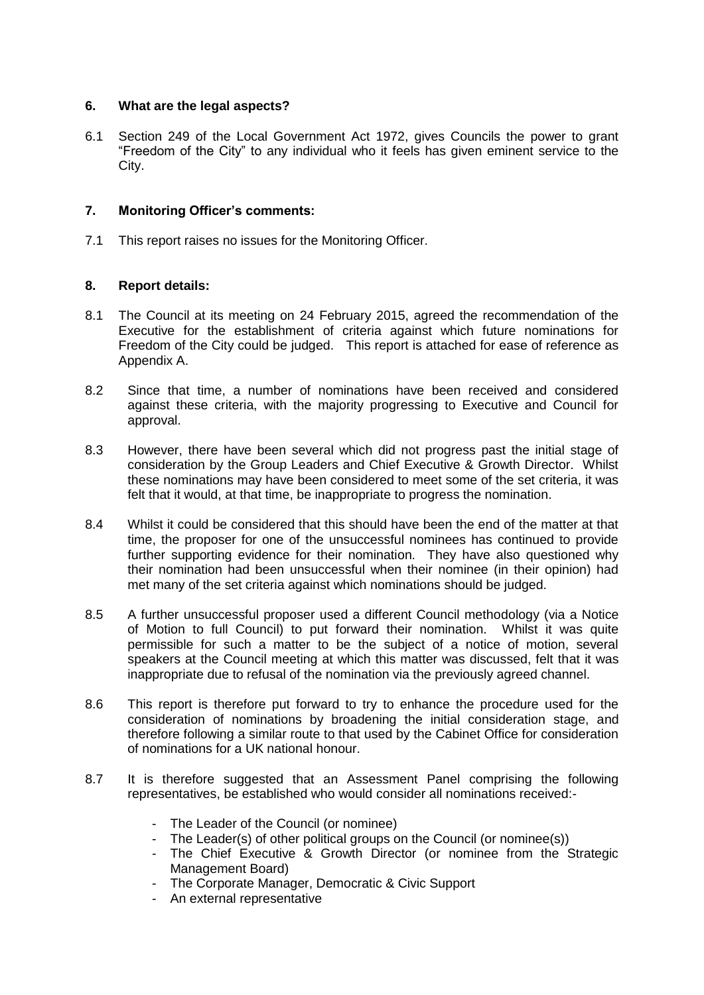## **6. What are the legal aspects?**

6.1 Section 249 of the Local Government Act 1972, gives Councils the power to grant "Freedom of the City" to any individual who it feels has given eminent service to the City.

# **7. Monitoring Officer's comments:**

7.1 This report raises no issues for the Monitoring Officer.

# **8. Report details:**

- 8.1 The Council at its meeting on 24 February 2015, agreed the recommendation of the Executive for the establishment of criteria against which future nominations for Freedom of the City could be judged. This report is attached for ease of reference as Appendix A.
- 8.2 Since that time, a number of nominations have been received and considered against these criteria, with the majority progressing to Executive and Council for approval.
- 8.3 However, there have been several which did not progress past the initial stage of consideration by the Group Leaders and Chief Executive & Growth Director. Whilst these nominations may have been considered to meet some of the set criteria, it was felt that it would, at that time, be inappropriate to progress the nomination.
- 8.4 Whilst it could be considered that this should have been the end of the matter at that time, the proposer for one of the unsuccessful nominees has continued to provide further supporting evidence for their nomination. They have also questioned why their nomination had been unsuccessful when their nominee (in their opinion) had met many of the set criteria against which nominations should be judged.
- 8.5 A further unsuccessful proposer used a different Council methodology (via a Notice of Motion to full Council) to put forward their nomination. Whilst it was quite permissible for such a matter to be the subject of a notice of motion, several speakers at the Council meeting at which this matter was discussed, felt that it was inappropriate due to refusal of the nomination via the previously agreed channel.
- 8.6 This report is therefore put forward to try to enhance the procedure used for the consideration of nominations by broadening the initial consideration stage, and therefore following a similar route to that used by the Cabinet Office for consideration of nominations for a UK national honour.
- 8.7 It is therefore suggested that an Assessment Panel comprising the following representatives, be established who would consider all nominations received:-
	- The Leader of the Council (or nominee)
	- The Leader(s) of other political groups on the Council (or nominee(s))
	- The Chief Executive & Growth Director (or nominee from the Strategic Management Board)
	- The Corporate Manager, Democratic & Civic Support
	- An external representative